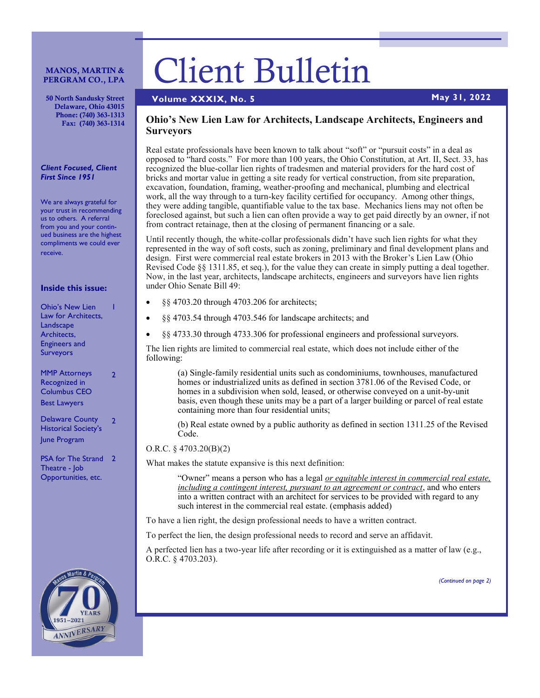#### MANOS, MARTIN & PERGRAM CO., LPA

50 North Sandusky Street Delaware, Ohio 43015 Phone: (740) 363-1313 Fax: (740) 363-1314

#### *Client Focused, Client First Since 1951*

We are always grateful for your trust in recommending us to others. A referral from you and your continued business are the highest compliments we could ever receive.

#### **Inside this issue:**

| <b>Ohio's New Lien</b><br>Law for Architects,<br>Landscape<br>Architects,<br><b>Engineers</b> and<br><b>Surveyors</b> |  |                      |  |
|-----------------------------------------------------------------------------------------------------------------------|--|----------------------|--|
|                                                                                                                       |  |                      |  |
|                                                                                                                       |  |                      |  |
|                                                                                                                       |  | <b>MMP Attorneys</b> |  |

Recognized in Columbus CEO Best Lawyers

Delaware County Historical Society's June Program 2

PSA for The Strand 2 Theatre - Job Opportunities, etc.



# Client Bulletin

# **Volume XXXIX, No. 5 May 31, 2022**

## **Ohio's New Lien Law for Architects, Landscape Architects, Engineers and Surveyors**

Real estate professionals have been known to talk about "soft" or "pursuit costs" in a deal as opposed to "hard costs." For more than 100 years, the Ohio Constitution, at Art. II, Sect. 33, has recognized the blue-collar lien rights of tradesmen and material providers for the hard cost of bricks and mortar value in getting a site ready for vertical construction, from site preparation, excavation, foundation, framing, weather-proofing and mechanical, plumbing and electrical work, all the way through to a turn-key facility certified for occupancy. Among other things, they were adding tangible, quantifiable value to the tax base. Mechanics liens may not often be foreclosed against, but such a lien can often provide a way to get paid directly by an owner, if not from contract retainage, then at the closing of permanent financing or a sale.

Until recently though, the white-collar professionals didn't have such lien rights for what they represented in the way of soft costs, such as zoning, preliminary and final development plans and design. First were commercial real estate brokers in 2013 with the Broker's Lien Law (Ohio Revised Code §§ 1311.85, et seq.), for the value they can create in simply putting a deal together. Now, in the last year, architects, landscape architects, engineers and surveyors have lien rights under Ohio Senate Bill 49:

- §§ 4703.20 through 4703.206 for architects;
- §§ 4703.54 through 4703.546 for landscape architects; and
- §§ 4733.30 through 4733.306 for professional engineers and professional surveyors.

The lien rights are limited to commercial real estate, which does not include either of the following:

(a) Single-family residential units such as condominiums, townhouses, manufactured homes or industrialized units as defined in section 3781.06 of the Revised Code, or homes in a subdivision when sold, leased, or otherwise conveyed on a unit-by-unit basis, even though these units may be a part of a larger building or parcel of real estate containing more than four residential units;

(b) Real estate owned by a public authority as defined in section 1311.25 of the Revised Code.

## O.R.C. § 4703.20(B)(2)

What makes the statute expansive is this next definition:

"Owner" means a person who has a legal *or equitable interest in commercial real estate, including a contingent interest, pursuant to an agreement or contract*, and who enters into a written contract with an architect for services to be provided with regard to any such interest in the commercial real estate. (emphasis added)

To have a lien right, the design professional needs to have a written contract.

To perfect the lien, the design professional needs to record and serve an affidavit.

A perfected lien has a two-year life after recording or it is extinguished as a matter of law (e.g., O.R.C. § 4703.203).

*(Continued on page 2)*